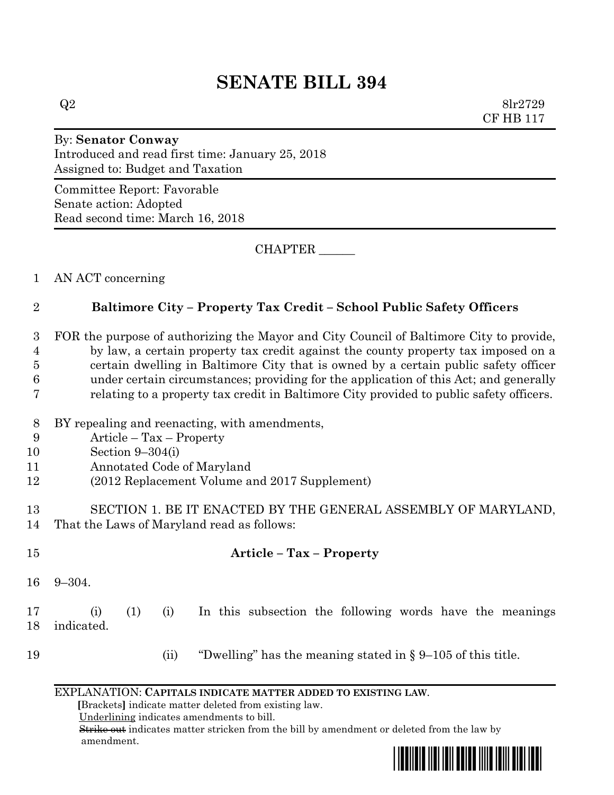# **SENATE BILL 394**

 $Q2 \qquad \qquad 8\text{lr}2729$ CF HB 117

## By: **Senator Conway** Introduced and read first time: January 25, 2018 Assigned to: Budget and Taxation

Committee Report: Favorable Senate action: Adopted Read second time: March 16, 2018

CHAPTER \_\_\_\_\_\_

1 AN ACT concerning

# 2 **Baltimore City – Property Tax Credit – School Public Safety Officers**

 FOR the purpose of authorizing the Mayor and City Council of Baltimore City to provide, by law, a certain property tax credit against the county property tax imposed on a certain dwelling in Baltimore City that is owned by a certain public safety officer under certain circumstances; providing for the application of this Act; and generally relating to a property tax credit in Baltimore City provided to public safety officers.

- 8 BY repealing and reenacting, with amendments,
- 9 Article Tax Property
- 10 Section 9–304(i)
- 11 Annotated Code of Maryland
- 12 (2012 Replacement Volume and 2017 Supplement)

## 13 SECTION 1. BE IT ENACTED BY THE GENERAL ASSEMBLY OF MARYLAND, 14 That the Laws of Maryland read as follows:

# 15 **Article – Tax – Property**

16 9–304.

17 (i) (1) (i) In this subsection the following words have the meanings 18 indicated.

19 (ii) "Dwelling" has the meaning stated in § 9–105 of this title.

#### EXPLANATION: **CAPITALS INDICATE MATTER ADDED TO EXISTING LAW**.

 **[**Brackets**]** indicate matter deleted from existing law.

Underlining indicates amendments to bill.

 Strike out indicates matter stricken from the bill by amendment or deleted from the law by amendment.

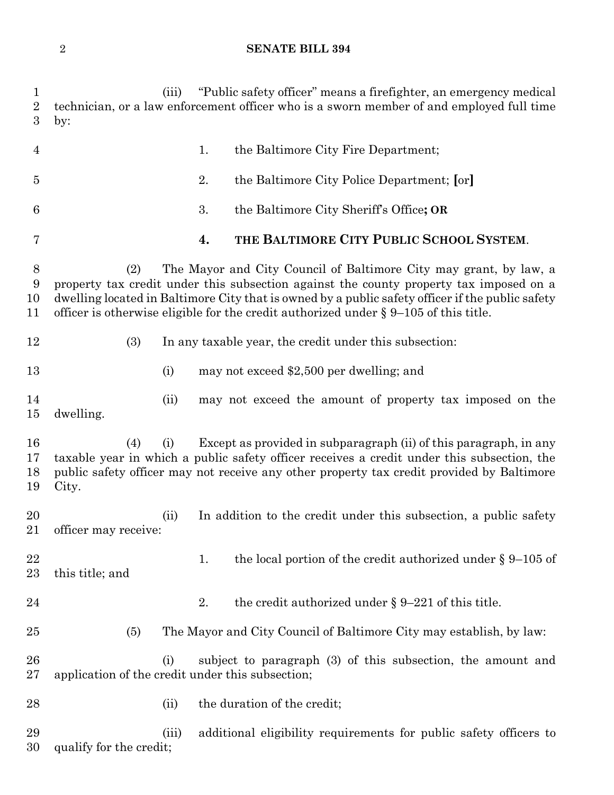## **SENATE BILL 394**

| $\mathbf{1}$<br>$\sqrt{2}$<br>3 | "Public safety officer" means a firefighter, an emergency medical<br>(iii)<br>technician, or a law enforcement officer who is a sworn member of and employed full time<br>by:                                                                                                                                                                                     |  |  |  |  |  |  |  |  |
|---------------------------------|-------------------------------------------------------------------------------------------------------------------------------------------------------------------------------------------------------------------------------------------------------------------------------------------------------------------------------------------------------------------|--|--|--|--|--|--|--|--|
| $\overline{4}$                  | the Baltimore City Fire Department;<br>1.                                                                                                                                                                                                                                                                                                                         |  |  |  |  |  |  |  |  |
| $\overline{5}$                  | 2.<br>the Baltimore City Police Department; [or]                                                                                                                                                                                                                                                                                                                  |  |  |  |  |  |  |  |  |
| 6                               | 3.<br>the Baltimore City Sheriff's Office; OR                                                                                                                                                                                                                                                                                                                     |  |  |  |  |  |  |  |  |
| 7                               | THE BALTIMORE CITY PUBLIC SCHOOL SYSTEM.<br>4.                                                                                                                                                                                                                                                                                                                    |  |  |  |  |  |  |  |  |
| $8\,$<br>9<br>10<br>11          | (2)<br>The Mayor and City Council of Baltimore City may grant, by law, a<br>property tax credit under this subsection against the county property tax imposed on a<br>dwelling located in Baltimore City that is owned by a public safety officer if the public safety<br>officer is otherwise eligible for the credit authorized under $\S 9-105$ of this title. |  |  |  |  |  |  |  |  |
| 12                              | (3)<br>In any taxable year, the credit under this subsection:                                                                                                                                                                                                                                                                                                     |  |  |  |  |  |  |  |  |
| 13                              | (i)<br>may not exceed \$2,500 per dwelling; and                                                                                                                                                                                                                                                                                                                   |  |  |  |  |  |  |  |  |
| 14<br>15                        | may not exceed the amount of property tax imposed on the<br>(ii)<br>dwelling.                                                                                                                                                                                                                                                                                     |  |  |  |  |  |  |  |  |
| 16<br>17<br>18<br>19            | Except as provided in subparagraph (ii) of this paragraph, in any<br>(4)<br>(i)<br>taxable year in which a public safety officer receives a credit under this subsection, the<br>public safety officer may not receive any other property tax credit provided by Baltimore<br>City.                                                                               |  |  |  |  |  |  |  |  |
| 20<br>21                        | (ii)<br>In addition to the credit under this subsection, a public safety<br>officer may receive:                                                                                                                                                                                                                                                                  |  |  |  |  |  |  |  |  |
| 22<br>23                        | the local portion of the credit authorized under $\S 9-105$ of<br>1.<br>this title; and                                                                                                                                                                                                                                                                           |  |  |  |  |  |  |  |  |
| 24                              | the credit authorized under $\S 9-221$ of this title.<br>2.                                                                                                                                                                                                                                                                                                       |  |  |  |  |  |  |  |  |
| 25                              | The Mayor and City Council of Baltimore City may establish, by law:<br>(5)                                                                                                                                                                                                                                                                                        |  |  |  |  |  |  |  |  |
| 26<br>27                        | subject to paragraph (3) of this subsection, the amount and<br>(i)<br>application of the credit under this subsection;                                                                                                                                                                                                                                            |  |  |  |  |  |  |  |  |
| 28                              | the duration of the credit;<br>(ii)                                                                                                                                                                                                                                                                                                                               |  |  |  |  |  |  |  |  |
| 29<br>30                        | additional eligibility requirements for public safety officers to<br>(iii)<br>qualify for the credit;                                                                                                                                                                                                                                                             |  |  |  |  |  |  |  |  |